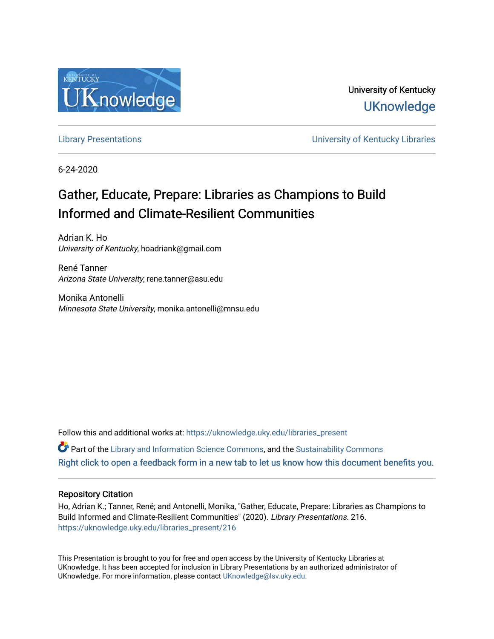

University of Kentucky **UKnowledge** 

[Library Presentations](https://uknowledge.uky.edu/libraries_present) [University of Kentucky Libraries](https://uknowledge.uky.edu/libraries) 

6-24-2020

# Gather, Educate, Prepare: Libraries as Champions to Build Informed and Climate-Resilient Communities

Adrian K. Ho University of Kentucky, hoadriank@gmail.com

René Tanner Arizona State University, rene.tanner@asu.edu

Monika Antonelli Minnesota State University, monika.antonelli@mnsu.edu

Follow this and additional works at: [https://uknowledge.uky.edu/libraries\\_present](https://uknowledge.uky.edu/libraries_present?utm_source=uknowledge.uky.edu%2Flibraries_present%2F216&utm_medium=PDF&utm_campaign=PDFCoverPages) 

 $\bullet$  Part of the [Library and Information Science Commons,](http://network.bepress.com/hgg/discipline/1018?utm_source=uknowledge.uky.edu%2Flibraries_present%2F216&utm_medium=PDF&utm_campaign=PDFCoverPages) and the [Sustainability Commons](http://network.bepress.com/hgg/discipline/1031?utm_source=uknowledge.uky.edu%2Flibraries_present%2F216&utm_medium=PDF&utm_campaign=PDFCoverPages) [Right click to open a feedback form in a new tab to let us know how this document benefits you.](https://uky.az1.qualtrics.com/jfe/form/SV_9mq8fx2GnONRfz7)

#### Repository Citation

Ho, Adrian K.; Tanner, René; and Antonelli, Monika, "Gather, Educate, Prepare: Libraries as Champions to Build Informed and Climate-Resilient Communities" (2020). Library Presentations. 216. [https://uknowledge.uky.edu/libraries\\_present/216](https://uknowledge.uky.edu/libraries_present/216?utm_source=uknowledge.uky.edu%2Flibraries_present%2F216&utm_medium=PDF&utm_campaign=PDFCoverPages) 

This Presentation is brought to you for free and open access by the University of Kentucky Libraries at UKnowledge. It has been accepted for inclusion in Library Presentations by an authorized administrator of UKnowledge. For more information, please contact [UKnowledge@lsv.uky.edu](mailto:UKnowledge@lsv.uky.edu).